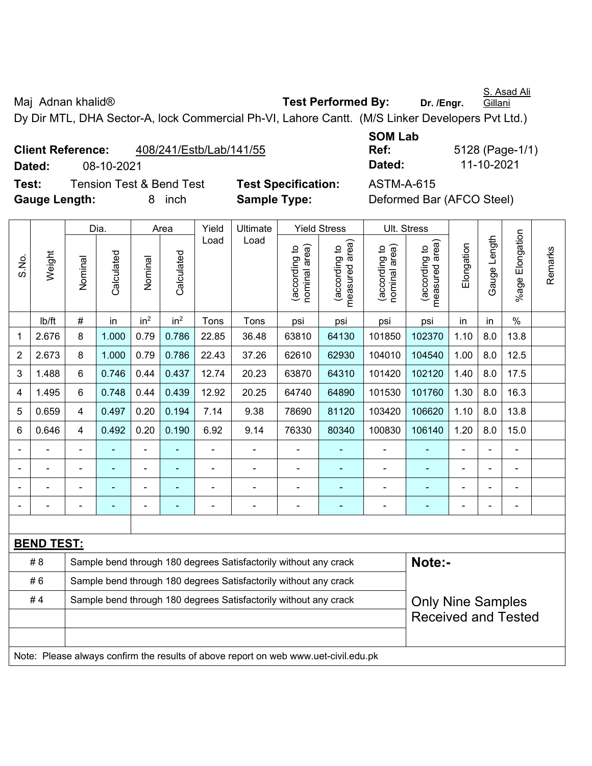Maj Adnan khalid<sup>®</sup> **Test Performed By:** Dr. /Engr. S. Asad Ali Gillani Dy Dir MTL, DHA Sector-A, lock Commercial Ph-VI, Lahore Cantt. (M/S Linker Developers Pvt Ltd.)

**Client Reference:** 408/241/Estb/Lab/141/55 **Dated:** 08-10-2021 **Dated:** 11-10-2021 **Test:** Tension Test & Bend Test **Test Specification:** ASTM-A-615

S.No.

**SOM Lab Ref:** 5128 (Page-1/1)

Remarks

**Gauge Length:** 8 inch **Sample Type:** Deformed Bar (AFCO Steel)

Load Load

Dia. | Area | Yield | Ultimate | Yield Stress | Ult. Stress

%age Elongation %age Elongation Gauge Length Gauge Length measured area) measured area) (according to<br>nominal area) (according to<br>nominal area) nominal area) (according to<br>measured area) nominal area) (according to<br>measured area) Elongation Elongation (according to (according to (according to (according to Remarks Weight **Calculated Calculated** Calculated Calculated Nominal Nominal Vominal Nominal | lb/ft | # | in | in<sup>2</sup> | in<sup>2</sup> | Tons | Tons | psi | psi | psi | psi | in | in | % 1 | 2.676 | 8 | 1.000 | 0.79 | 0.786 | 22.85 | 36.48 | 63810 | 64130 | 101850 | 102370 | 1.10 | 8.0 | 13.8 2 | 2.673 | 8 | 1.000 | 0.79 | 0.786 | 22.43 | 37.26 | 62610 | 62930 | 104010 | 104540 | 1.00 | 8.0 | 12.5 3 | 1.488 | 6 | 0.746 | 0.44 | 0.437 | 12.74 | 20.23 | 63870 | 64310 | 101420 | 102120 | 1.40 | 8.0 | 17.5 4 | 1.495 | 6 | 0.748 | 0.44 | 0.439 | 12.92 | 20.25 | 64740 | 64890 | 101530 | 101760 | 1.30 | 8.0 | 16.3 5 0.659 4 0.497 0.20 0.194 7.14 9.38 78690 81120 103420 106620 1.10 8.0 13.8 6 | 0.646 | 4 | 0.492 | 0.20 | 0.190 | 6.92 | 9.14 | 76330 | 80340 | 100830 | 106140 | 1.20 | 8.0 | 15.0 - - - - - - - - - - - - - - - - - - - - - - - - - - - - - - - - - - - - - - - - - - - - -

**BEND TEST:**  # 8 Sample bend through 180 degrees Satisfactorily without any crack **Note:- Note:** #6 Sample bend through 180 degrees Satisfactorily without any crack Only Nine Samples Received and Tested #4 Sample bend through 180 degrees Satisfactorily without any crack Note: Please always confirm the results of above report on web www.uet-civil.edu.pk

- - - - - - - - - - - - - - -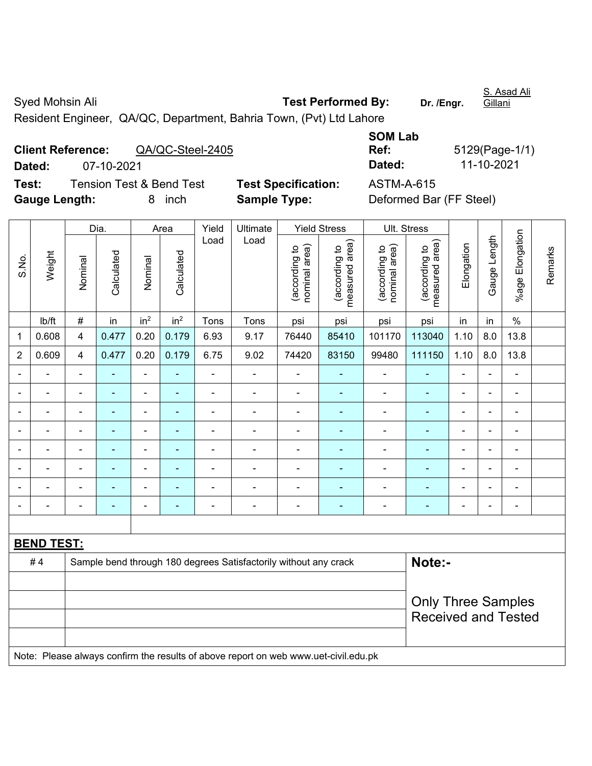Syed Mohsin Ali **Test Performed By:** Dr. /Engr. S. Asad Ali **Gillani** Resident Engineer, QA/QC, Department, Bahria Town, (Pvt) Ltd Lahore

**Client Reference:** QA/QC-Steel-2405 **Dated:** 07-10-2021 **Dated:** 11-10-2021 **Test:** Tension Test & Bend Test **Test Specification:** ASTM-A-615 **Gauge Length:** 8 inch **Sample Type:** Deformed Bar (FF Steel)

**SOM Lab Ref:** 5129(Page-1/1)

| S.No.                                                                               | Weight         |                           | Dia.           | Area            |                          | Yield                    | Ultimate                                                         | <b>Yield Stress</b>            |                                 | Ult. Stress                    |                                 |                            |                |                          |         |  |  |
|-------------------------------------------------------------------------------------|----------------|---------------------------|----------------|-----------------|--------------------------|--------------------------|------------------------------------------------------------------|--------------------------------|---------------------------------|--------------------------------|---------------------------------|----------------------------|----------------|--------------------------|---------|--|--|
|                                                                                     |                | Nominal                   | Calculated     | Nominal         | Calculated               | Load                     | Load                                                             | nominal area)<br>(according to | (according to<br>measured area) | nominal area)<br>(according to | (according to<br>measured area) | Elongation                 | Gauge Length   | %age Elongation          | Remarks |  |  |
|                                                                                     | Ib/ft          | $\#$                      | in             | in <sup>2</sup> | in <sup>2</sup>          | Tons                     | Tons                                                             | psi                            | psi                             | psi                            | psi                             | in                         | in             | $\%$                     |         |  |  |
| 1                                                                                   | 0.608          | $\overline{4}$            | 0.477          | 0.20            | 0.179                    | 6.93                     | 9.17                                                             | 76440                          | 85410                           | 101170                         | 113040                          | 1.10                       | 8.0            | 13.8                     |         |  |  |
| $\overline{2}$                                                                      | 0.609          | $\overline{4}$            | 0.477          | 0.20            | 0.179                    | 6.75                     | 9.02                                                             | 74420                          | 83150                           | 99480                          | 111150                          | 1.10                       | 8.0            | 13.8                     |         |  |  |
|                                                                                     | Ē,             | $\blacksquare$            | ä,             | ÷,              | $\overline{\phantom{a}}$ | $\overline{\phantom{0}}$ | $\overline{a}$                                                   | $\blacksquare$                 |                                 | $\blacksquare$                 | ÷                               | $\blacksquare$             | $\blacksquare$ | $\blacksquare$           |         |  |  |
|                                                                                     | $\blacksquare$ | $\blacksquare$            | ä,             | $\blacksquare$  | $\blacksquare$           | $\blacksquare$           | $\blacksquare$                                                   | $\blacksquare$                 | ÷                               | $\overline{\phantom{a}}$       | $\blacksquare$                  | $\blacksquare$             | $\blacksquare$ | $\blacksquare$           |         |  |  |
|                                                                                     | $\overline{a}$ | $\blacksquare$            | $\blacksquare$ | $\blacksquare$  | $\overline{\phantom{a}}$ | $\blacksquare$           | $\blacksquare$                                                   |                                | $\blacksquare$                  | $\blacksquare$                 | ۰                               | $\blacksquare$             |                | $\blacksquare$           |         |  |  |
|                                                                                     |                | $\blacksquare$            | $\blacksquare$ | $\blacksquare$  | $\blacksquare$           | ä,                       | $\blacksquare$                                                   | ä,                             |                                 | $\blacksquare$                 | ÷,                              | $\blacksquare$             |                | $\blacksquare$           |         |  |  |
|                                                                                     |                | Ē,                        |                | $\blacksquare$  |                          |                          | $\blacksquare$                                                   | L,                             |                                 | ä,                             | L.                              |                            |                | $\blacksquare$           |         |  |  |
|                                                                                     |                |                           |                | $\blacksquare$  |                          |                          |                                                                  | $\blacksquare$                 |                                 | $\sim$                         |                                 | $\sim$                     |                | $\overline{\phantom{0}}$ |         |  |  |
|                                                                                     |                |                           |                | $\blacksquare$  |                          |                          |                                                                  |                                |                                 |                                |                                 |                            |                | $\blacksquare$           |         |  |  |
|                                                                                     |                |                           |                | $\blacksquare$  |                          | ÷                        | $\blacksquare$                                                   | $\blacksquare$                 |                                 | $\blacksquare$                 | ä,                              |                            |                | $\blacksquare$           |         |  |  |
|                                                                                     |                |                           |                |                 |                          |                          |                                                                  |                                |                                 |                                |                                 |                            |                |                          |         |  |  |
| <b>BEND TEST:</b>                                                                   |                |                           |                |                 |                          |                          |                                                                  |                                |                                 |                                |                                 |                            |                |                          |         |  |  |
|                                                                                     | #4             |                           |                |                 |                          |                          | Sample bend through 180 degrees Satisfactorily without any crack |                                |                                 |                                | Note:-                          |                            |                |                          |         |  |  |
|                                                                                     |                |                           |                |                 |                          |                          |                                                                  |                                |                                 |                                |                                 |                            |                |                          |         |  |  |
|                                                                                     |                | <b>Only Three Samples</b> |                |                 |                          |                          |                                                                  |                                |                                 |                                |                                 |                            |                |                          |         |  |  |
|                                                                                     |                |                           |                |                 |                          |                          |                                                                  |                                |                                 |                                |                                 | <b>Received and Tested</b> |                |                          |         |  |  |
|                                                                                     |                |                           |                |                 |                          |                          |                                                                  |                                |                                 |                                |                                 |                            |                |                          |         |  |  |
| Note: Please always confirm the results of above report on web www.uet-civil.edu.pk |                |                           |                |                 |                          |                          |                                                                  |                                |                                 |                                |                                 |                            |                |                          |         |  |  |
|                                                                                     |                |                           |                |                 |                          |                          |                                                                  |                                |                                 |                                |                                 |                            |                |                          |         |  |  |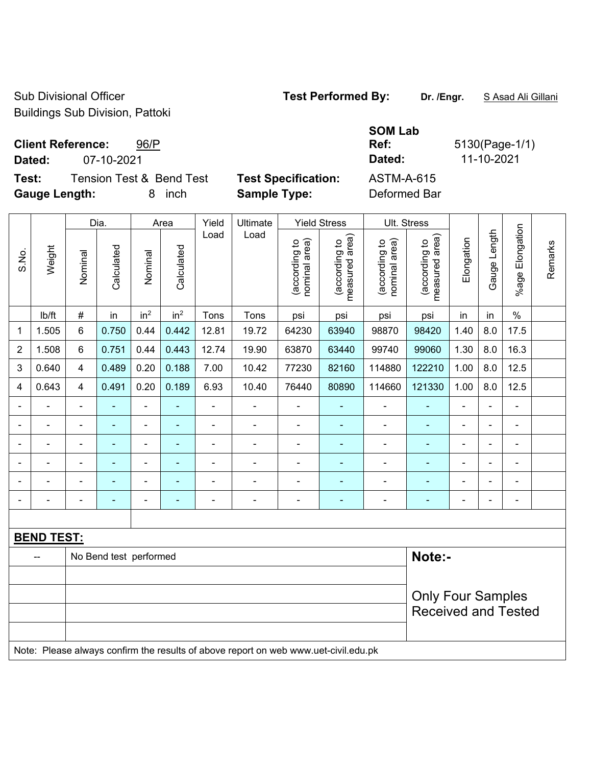Sub Divisional Officer **Test Performed By:** Dr. /Engr. **SAsad Ali Gillani** Sub Divisional Officer Buildings Sub Division, Pattoki

**Client Reference:** 96/P

**Dated:** 07-10-2021 **Dated:** 11-10-2021

**Test:** Tension Test & Bend Test **Test Specification:** ASTM-A-615 **Gauge Length:** 8 inch **Sample Type:** Deformed Bar

**SOM Lab Ref:** 5130(Page-1/1)

|                | Weight            |                | Dia.<br>Area           |                              |                 | Yield<br>Ultimate        |                                                                                     | <b>Yield Stress</b> | Ult. Stress                    |                                 |                                |                                 |                |                          |                      |         |
|----------------|-------------------|----------------|------------------------|------------------------------|-----------------|--------------------------|-------------------------------------------------------------------------------------|---------------------|--------------------------------|---------------------------------|--------------------------------|---------------------------------|----------------|--------------------------|----------------------|---------|
| S.No.          |                   |                | Nominal                | Calculated                   | Nominal         | Calculated               | Load                                                                                | Load                | (according to<br>nominal area) | (according to<br>measured area) | (according to<br>nominal area) | (according to<br>measured area) | Elongation     | Gauge Length             | Elongation<br>%age l | Remarks |
|                | Ib/ft             | $\#$           | in                     | in <sup>2</sup>              | in <sup>2</sup> | Tons                     | Tons                                                                                | psi                 | psi                            | psi                             | psi                            | in                              | in             | $\%$                     |                      |         |
| 1              | 1.505             | $6\phantom{a}$ | 0.750                  | 0.44                         | 0.442           | 12.81                    | 19.72                                                                               | 64230               | 63940                          | 98870                           | 98420                          | 1.40                            | 8.0            | 17.5                     |                      |         |
| $\overline{2}$ | 1.508             | $6\phantom{1}$ | 0.751                  | 0.44                         | 0.443           | 12.74                    | 19.90                                                                               | 63870               | 63440                          | 99740                           | 99060                          | 1.30                            | 8.0            | 16.3                     |                      |         |
| 3              | 0.640             | $\overline{4}$ | 0.489                  | 0.20                         | 0.188           | 7.00                     | 10.42                                                                               | 77230               | 82160                          | 114880                          | 122210                         | 1.00                            | 8.0            | 12.5                     |                      |         |
| 4              | 0.643             | $\overline{4}$ | 0.491                  | 0.20                         | 0.189           | 6.93                     | 10.40                                                                               | 76440               | 80890                          | 114660                          | 121330                         | 1.00                            | 8.0            | 12.5                     |                      |         |
|                | $\blacksquare$    | $\blacksquare$ | ٠                      | $\overline{\phantom{a}}$     | $\blacksquare$  | $\blacksquare$           | $\blacksquare$                                                                      | $\blacksquare$      | $\blacksquare$                 | $\blacksquare$                  | $\blacksquare$                 | $\blacksquare$                  | $\blacksquare$ | $\blacksquare$           |                      |         |
|                | ÷.                | $\blacksquare$ | $\blacksquare$         | $\overline{\phantom{a}}$     | $\blacksquare$  | $\blacksquare$           | ÷,                                                                                  | $\blacksquare$      | $\blacksquare$                 | $\blacksquare$                  | $\blacksquare$                 | $\blacksquare$                  |                | $\blacksquare$           |                      |         |
|                |                   |                | ÷                      | ÷,                           |                 | L,                       | ä,                                                                                  | $\blacksquare$      | ÷                              | $\blacksquare$                  | ÷                              | $\blacksquare$                  |                | ä,                       |                      |         |
|                |                   |                |                        | $\qquad \qquad \blacksquare$ |                 | $\overline{\phantom{0}}$ | $\blacksquare$                                                                      | $\blacksquare$      |                                | $\blacksquare$                  | ۰                              |                                 |                | $\overline{a}$           |                      |         |
|                |                   |                | $\blacksquare$         | ۰                            |                 |                          |                                                                                     | $\blacksquare$      | ۰                              | $\blacksquare$                  | ۰                              | $\blacksquare$                  |                | $\blacksquare$           |                      |         |
|                |                   |                | $\blacksquare$         | $\overline{\phantom{a}}$     |                 | Ē,                       | Ē,                                                                                  | $\blacksquare$      | ۰                              | $\blacksquare$                  | ÷                              | $\blacksquare$                  | ÷              | $\overline{\phantom{0}}$ |                      |         |
|                |                   |                |                        |                              |                 |                          |                                                                                     |                     |                                |                                 |                                |                                 |                |                          |                      |         |
|                | <b>BEND TEST:</b> |                |                        |                              |                 |                          |                                                                                     |                     |                                |                                 |                                |                                 |                |                          |                      |         |
|                |                   |                | No Bend test performed |                              |                 |                          |                                                                                     |                     |                                |                                 | Note:-                         |                                 |                |                          |                      |         |
|                |                   |                |                        |                              |                 |                          |                                                                                     |                     |                                |                                 |                                |                                 |                |                          |                      |         |
|                |                   |                |                        |                              |                 |                          |                                                                                     |                     |                                |                                 | <b>Only Four Samples</b>       |                                 |                |                          |                      |         |
|                |                   |                |                        |                              |                 |                          |                                                                                     |                     |                                | <b>Received and Tested</b>      |                                |                                 |                |                          |                      |         |
|                |                   |                |                        |                              |                 |                          |                                                                                     |                     |                                |                                 |                                |                                 |                |                          |                      |         |
|                |                   |                |                        |                              |                 |                          | Note: Please always confirm the results of above report on web www.uet-civil.edu.pk |                     |                                |                                 |                                |                                 |                |                          |                      |         |